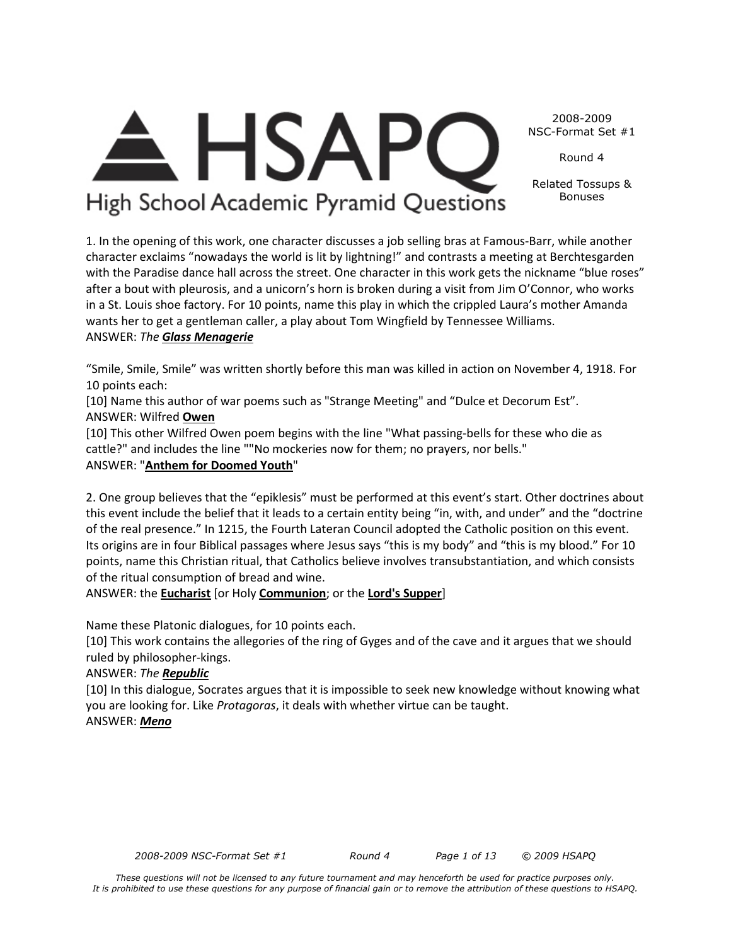*2008-2009 NSC-Format Set #1 Round 4 Page 1 of 13 © 2009 HSAPQ* 



2008-2009 NSC-Format Set #1

Round 4

Related Tossups & Bonuses

1. In the opening of this work, one character discusses a job selling bras at Famous-Barr, while another character exclaims "nowadays the world is lit by lightning!" and contrasts a meeting at Berchtesgarden with the Paradise dance hall across the street. One character in this work gets the nickname "blue roses" after a bout with pleurosis, and a unicorn's horn is broken during a visit from Jim O'Connor, who works in a St. Louis shoe factory. For 10 points, name this play in which the crippled Laura's mother Amanda wants her to get a gentleman caller, a play about Tom Wingfield by Tennessee Williams. ANSWER: *The Glass Menagerie*

"Smile, Smile, Smile" was written shortly before this man was killed in action on November 4, 1918. For 10 points each:

[10] Name this author of war poems such as "Strange Meeting" and "Dulce et Decorum Est". ANSWER: Wilfred **Owen**

[10] This other Wilfred Owen poem begins with the line "What passing-bells for these who die as cattle?" and includes the line ""No mockeries now for them; no prayers, nor bells." ANSWER: "**Anthem for Doomed Youth**"

2. One group believes that the "epiklesis" must be performed at this event's start. Other doctrines about this event include the belief that it leads to a certain entity being "in, with, and under" and the "doctrine of the real presence." In 1215, the Fourth Lateran Council adopted the Catholic position on this event. Its origins are in four Biblical passages where Jesus says "this is my body" and "this is my blood." For 10 points, name this Christian ritual, that Catholics believe involves transubstantiation, and which consists of the ritual consumption of bread and wine.

ANSWER: the **Eucharist** [or Holy **Communion**; or the **Lord's Supper**]

Name these Platonic dialogues, for 10 points each.

[10] This work contains the allegories of the ring of Gyges and of the cave and it argues that we should ruled by philosopher-kings.

# ANSWER: *The Republic*

[10] In this dialogue, Socrates argues that it is impossible to seek new knowledge without knowing what you are looking for. Like *Protagoras*, it deals with whether virtue can be taught. ANSWER: *Meno*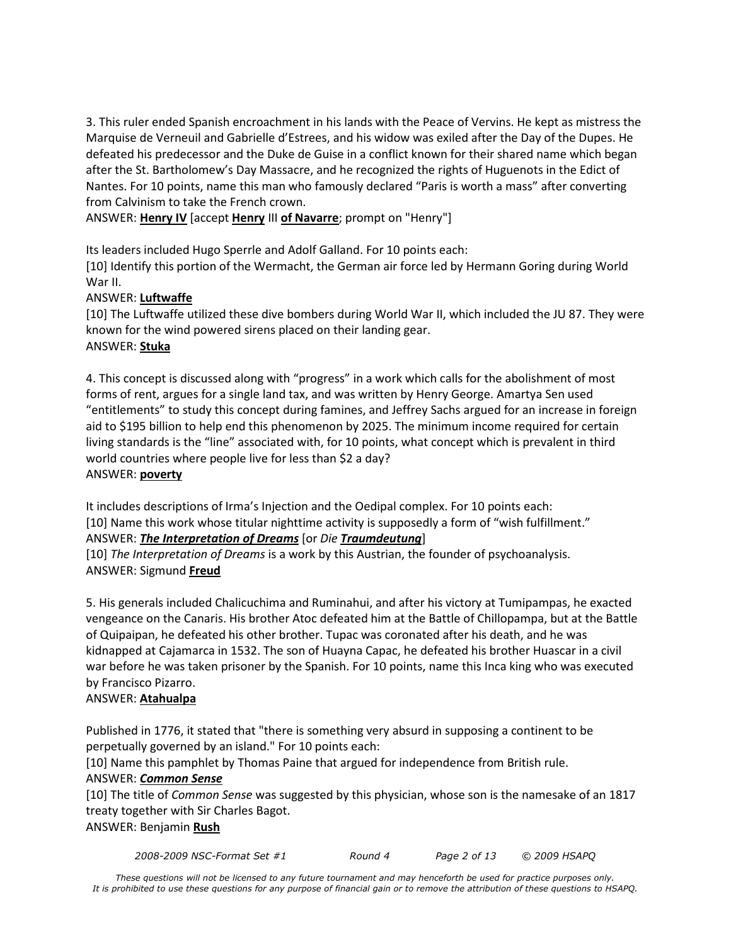3. This ruler ended Spanish encroachment in his lands with the Peace of Vervins. He kept as mistress the Marquise de Verneuil and Gabrielle d'Estrees, and his widow was exiled after the Day of the Dupes. He defeated his predecessor and the Duke de Guise in a conflict known for their shared name which began after the St. Bartholomew's Day Massacre, and he recognized the rights of Huguenots in the Edict of Nantes. For 10 points, name this man who famously declared "Paris is worth a mass" after converting from Calvinism to take the French crown.

ANSWER: **Henry IV** [accept **Henry** III **of Navarre**; prompt on "Henry"]

Its leaders included Hugo Sperrle and Adolf Galland. For 10 points each:

[10] Identify this portion of the Wermacht, the German air force led by Hermann Goring during World War II.

## ANSWER: **Luftwaffe**

[10] The Luftwaffe utilized these dive bombers during World War II, which included the JU 87. They were known for the wind powered sirens placed on their landing gear. ANSWER: **Stuka**

4. This concept is discussed along with "progress" in a work which calls for the abolishment of most forms of rent, argues for a single land tax, and was written by Henry George. Amartya Sen used "entitlements" to study this concept during famines, and Jeffrey Sachs argued for an increase in foreign aid to \$195 billion to help end this phenomenon by 2025. The minimum income required for certain living standards is the "line" associated with, for 10 points, what concept which is prevalent in third world countries where people live for less than \$2 a day? ANSWER: **poverty**

It includes descriptions of Irma's Injection and the Oedipal complex. For 10 points each: [10] Name this work whose titular nighttime activity is supposedly a form of "wish fulfillment." ANSWER: *The Interpretation of Dreams* [or *Die Traumdeutung*]

[10] *The Interpretation of Dreams* is a work by this Austrian, the founder of psychoanalysis. ANSWER: Sigmund **Freud**

5. His generals included Chalicuchima and Ruminahui, and after his victory at Tumipampas, he exacted vengeance on the Canaris. His brother Atoc defeated him at the Battle of Chillopampa, but at the Battle of Quipaipan, he defeated his other brother. Tupac was coronated after his death, and he was kidnapped at Cajamarca in 1532. The son of Huayna Capac, he defeated his brother Huascar in a civil war before he was taken prisoner by the Spanish. For 10 points, name this Inca king who was executed by Francisco Pizarro.

#### ANSWER: **Atahualpa**

Published in 1776, it stated that "there is something very absurd in supposing a continent to be perpetually governed by an island." For 10 points each:

[10] Name this pamphlet by Thomas Paine that argued for independence from British rule.

#### ANSWER: *Common Sense*

[10] The title of *Common Sense* was suggested by this physician, whose son is the namesake of an 1817 treaty together with Sir Charles Bagot. ANSWER: Benjamin **Rush**

*2008-2009 NSC-Format Set #1 Round 4 Page 2 of 13 © 2009 HSAPQ*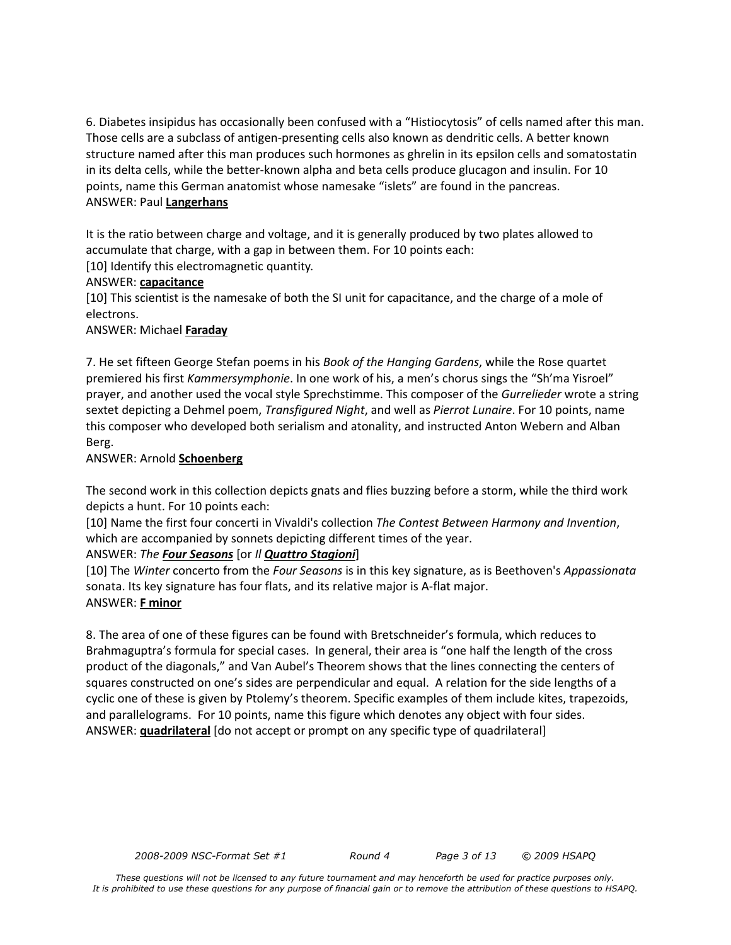6. Diabetes insipidus has occasionally been confused with a "Histiocytosis" of cells named after this man. Those cells are a subclass of antigen-presenting cells also known as dendritic cells. A better known structure named after this man produces such hormones as ghrelin in its epsilon cells and somatostatin in its delta cells, while the better-known alpha and beta cells produce glucagon and insulin. For 10 points, name this German anatomist whose namesake "islets" are found in the pancreas. ANSWER: Paul **Langerhans**

It is the ratio between charge and voltage, and it is generally produced by two plates allowed to accumulate that charge, with a gap in between them. For 10 points each: [10] Identify this electromagnetic quantity.

#### ANSWER: **capacitance**

[10] This scientist is the namesake of both the SI unit for capacitance, and the charge of a mole of electrons.

## ANSWER: Michael **Faraday**

7. He set fifteen George Stefan poems in his *Book of the Hanging Gardens*, while the Rose quartet premiered his first *Kammersymphonie*. In one work of his, a men's chorus sings the "Sh'ma Yisroel" prayer, and another used the vocal style Sprechstimme. This composer of the *Gurrelieder* wrote a string sextet depicting a Dehmel poem, *Transfigured Night*, and well as *Pierrot Lunaire*. For 10 points, name this composer who developed both serialism and atonality, and instructed Anton Webern and Alban Berg.

## ANSWER: Arnold **Schoenberg**

The second work in this collection depicts gnats and flies buzzing before a storm, while the third work depicts a hunt. For 10 points each:

[10] Name the first four concerti in Vivaldi's collection *The Contest Between Harmony and Invention*, which are accompanied by sonnets depicting different times of the year.

## ANSWER: *The Four Seasons* [or *Il Quattro Stagioni*]

[10] The *Winter* concerto from the *Four Seasons* is in this key signature, as is Beethoven's *Appassionata* sonata. Its key signature has four flats, and its relative major is A-flat major. ANSWER: **F minor**

8. The area of one of these figures can be found with Bretschneider's formula, which reduces to Brahmaguptra's formula for special cases. In general, their area is "one half the length of the cross product of the diagonals," and Van Aubel's Theorem shows that the lines connecting the centers of squares constructed on one's sides are perpendicular and equal. A relation for the side lengths of a cyclic one of these is given by Ptolemy's theorem. Specific examples of them include kites, trapezoids, and parallelograms. For 10 points, name this figure which denotes any object with four sides. ANSWER: **quadrilateral** [do not accept or prompt on any specific type of quadrilateral]

*2008-2009 NSC-Format Set #1 Round 4 Page 3 of 13 © 2009 HSAPQ*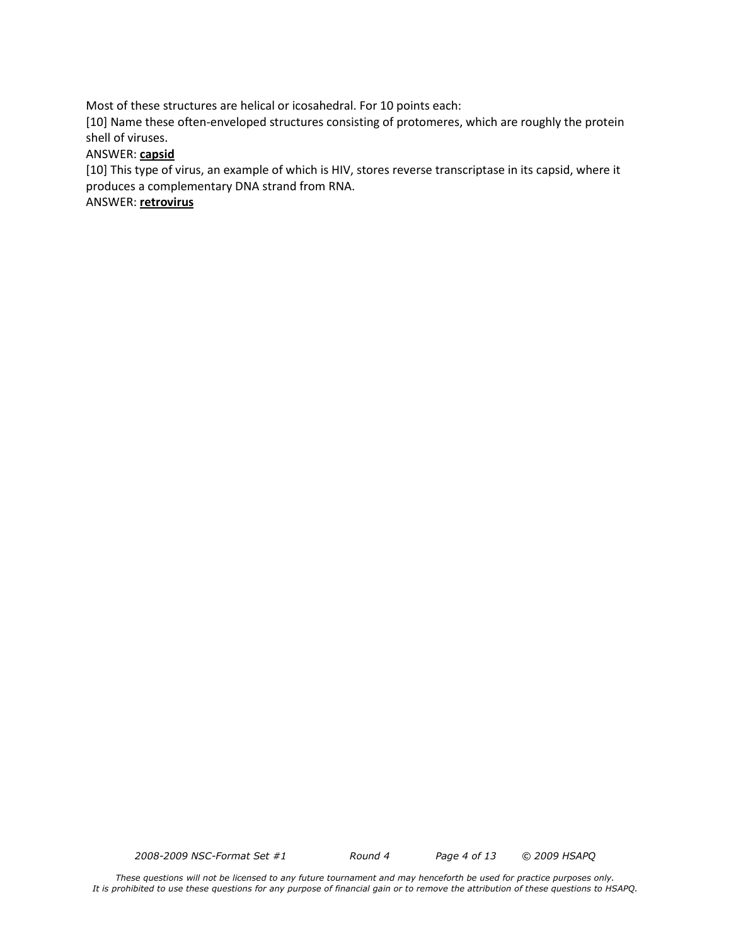Most of these structures are helical or icosahedral. For 10 points each:

[10] Name these often-enveloped structures consisting of protomeres, which are roughly the protein shell of viruses.

#### ANSWER: **capsid**

[10] This type of virus, an example of which is HIV, stores reverse transcriptase in its capsid, where it produces a complementary DNA strand from RNA.

ANSWER: **retrovirus**

*2008-2009 NSC-Format Set #1 Round 4 Page 4 of 13 © 2009 HSAPQ*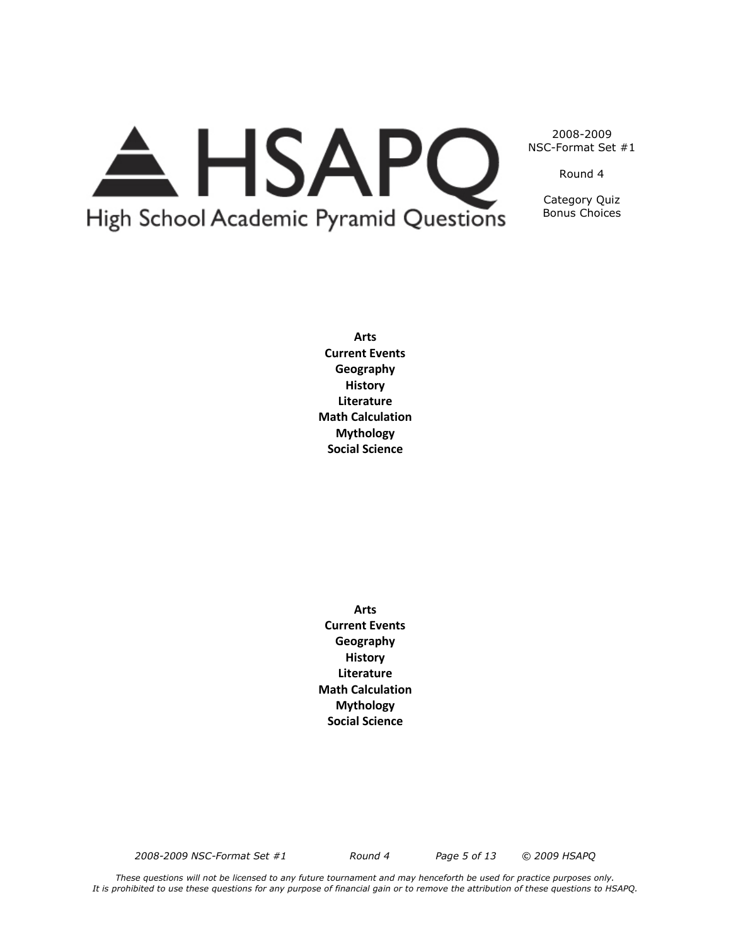

2008-2009 NSC-Format Set #1

Round 4

Category Quiz Bonus Choices

**Arts Current Events Geography History Literature Math Calculation Mythology Social Science**

**Arts Current Events Geography History Literature Math Calculation Mythology Social Science**

*2008-2009 NSC-Format Set #1 Round 4 Page 5 of 13 © 2009 HSAPQ*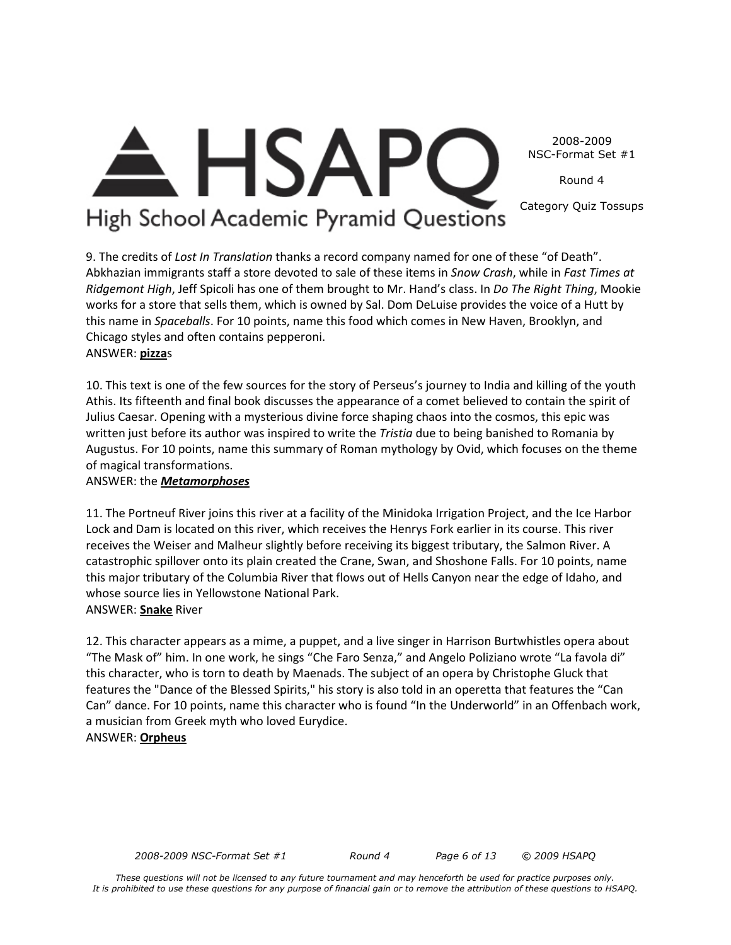2008-2009 NSC-Format Set #1

Round 4

Category Quiz Tossups

# High School Academic Pyramid Questions

**HSAP** 

9. The credits of *Lost In Translation* thanks a record company named for one of these "of Death". Abkhazian immigrants staff a store devoted to sale of these items in *Snow Crash*, while in *Fast Times at Ridgemont High*, Jeff Spicoli has one of them brought to Mr. Hand's class. In *Do The Right Thing*, Mookie works for a store that sells them, which is owned by Sal. Dom DeLuise provides the voice of a Hutt by this name in *Spaceballs*. For 10 points, name this food which comes in New Haven, Brooklyn, and Chicago styles and often contains pepperoni. ANSWER: **pizza**s

10. This text is one of the few sources for the story of Perseus's journey to India and killing of the youth Athis. Its fifteenth and final book discusses the appearance of a comet believed to contain the spirit of Julius Caesar. Opening with a mysterious divine force shaping chaos into the cosmos, this epic was written just before its author was inspired to write the *Tristia* due to being banished to Romania by Augustus. For 10 points, name this summary of Roman mythology by Ovid, which focuses on the theme of magical transformations.

# ANSWER: the *Metamorphoses*

11. The Portneuf River joins this river at a facility of the Minidoka Irrigation Project, and the Ice Harbor Lock and Dam is located on this river, which receives the Henrys Fork earlier in its course. This river receives the Weiser and Malheur slightly before receiving its biggest tributary, the Salmon River. A catastrophic spillover onto its plain created the Crane, Swan, and Shoshone Falls. For 10 points, name this major tributary of the Columbia River that flows out of Hells Canyon near the edge of Idaho, and whose source lies in Yellowstone National Park. ANSWER: **Snake** River

12. This character appears as a mime, a puppet, and a live singer in Harrison Burtwhistles opera about "The Mask of" him. In one work, he sings "Che Faro Senza," and Angelo Poliziano wrote "La favola di" this character, who is torn to death by Maenads. The subject of an opera by Christophe Gluck that features the "Dance of the Blessed Spirits," his story is also told in an operetta that features the "Can Can" dance. For 10 points, name this character who is found "In the Underworld" in an Offenbach work, a musician from Greek myth who loved Eurydice.

# ANSWER: **Orpheus**

*2008-2009 NSC-Format Set #1 Round 4 Page 6 of 13 © 2009 HSAPQ*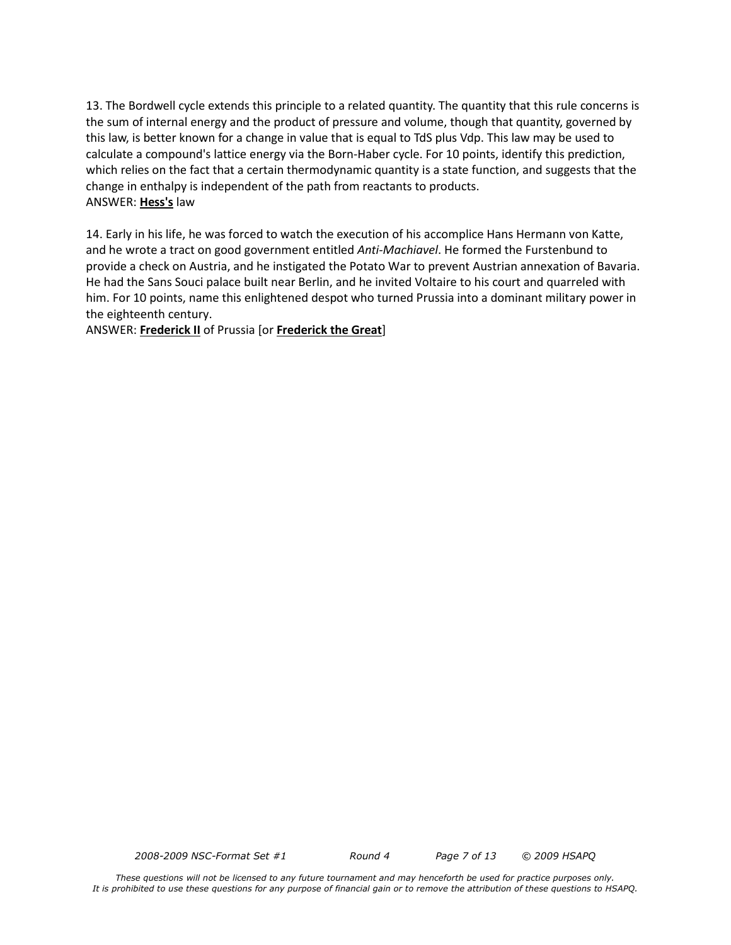13. The Bordwell cycle extends this principle to a related quantity. The quantity that this rule concerns is the sum of internal energy and the product of pressure and volume, though that quantity, governed by this law, is better known for a change in value that is equal to TdS plus Vdp. This law may be used to calculate a compound's lattice energy via the Born-Haber cycle. For 10 points, identify this prediction, which relies on the fact that a certain thermodynamic quantity is a state function, and suggests that the change in enthalpy is independent of the path from reactants to products. ANSWER: **Hess's** law

14. Early in his life, he was forced to watch the execution of his accomplice Hans Hermann von Katte, and he wrote a tract on good government entitled *Anti-Machiavel*. He formed the Furstenbund to provide a check on Austria, and he instigated the Potato War to prevent Austrian annexation of Bavaria. He had the Sans Souci palace built near Berlin, and he invited Voltaire to his court and quarreled with him. For 10 points, name this enlightened despot who turned Prussia into a dominant military power in the eighteenth century.

ANSWER: **Frederick II** of Prussia [or **Frederick the Great**]

*2008-2009 NSC-Format Set #1 Round 4 Page 7 of 13 © 2009 HSAPQ*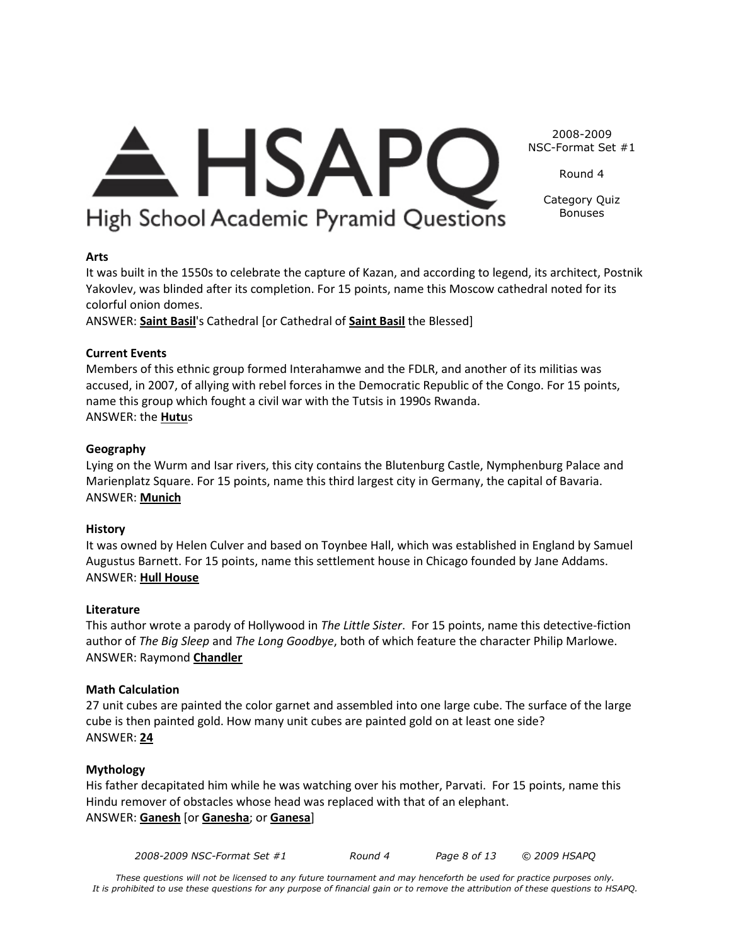

Round 4

Category Quiz Bonuses

High School Academic Pyramid Questions

 $\triangle$  HSAPC

**Arts**

It was built in the 1550s to celebrate the capture of Kazan, and according to legend, its architect, Postnik Yakovlev, was blinded after its completion. For 15 points, name this Moscow cathedral noted for its colorful onion domes.

ANSWER: **Saint Basil**'s Cathedral [or Cathedral of **Saint Basil** the Blessed]

#### **Current Events**

Members of this ethnic group formed Interahamwe and the FDLR, and another of its militias was accused, in 2007, of allying with rebel forces in the Democratic Republic of the Congo. For 15 points, name this group which fought a civil war with the Tutsis in 1990s Rwanda. ANSWER: the **Hutu**s

#### **Geography**

Lying on the Wurm and Isar rivers, this city contains the Blutenburg Castle, Nymphenburg Palace and Marienplatz Square. For 15 points, name this third largest city in Germany, the capital of Bavaria. ANSWER: **Munich**

#### **History**

It was owned by Helen Culver and based on Toynbee Hall, which was established in England by Samuel Augustus Barnett. For 15 points, name this settlement house in Chicago founded by Jane Addams. ANSWER: **Hull House**

#### **Literature**

This author wrote a parody of Hollywood in *The Little Sister*. For 15 points, name this detective-fiction author of *The Big Sleep* and *The Long Goodbye*, both of which feature the character Philip Marlowe. ANSWER: Raymond **Chandler**

#### **Math Calculation**

27 unit cubes are painted the color garnet and assembled into one large cube. The surface of the large cube is then painted gold. How many unit cubes are painted gold on at least one side? ANSWER: **24**

#### **Mythology**

His father decapitated him while he was watching over his mother, Parvati. For 15 points, name this Hindu remover of obstacles whose head was replaced with that of an elephant. ANSWER: **Ganesh** [or **Ganesha**; or **Ganesa**]

*2008-2009 NSC-Format Set #1 Round 4 Page 8 of 13 © 2009 HSAPQ*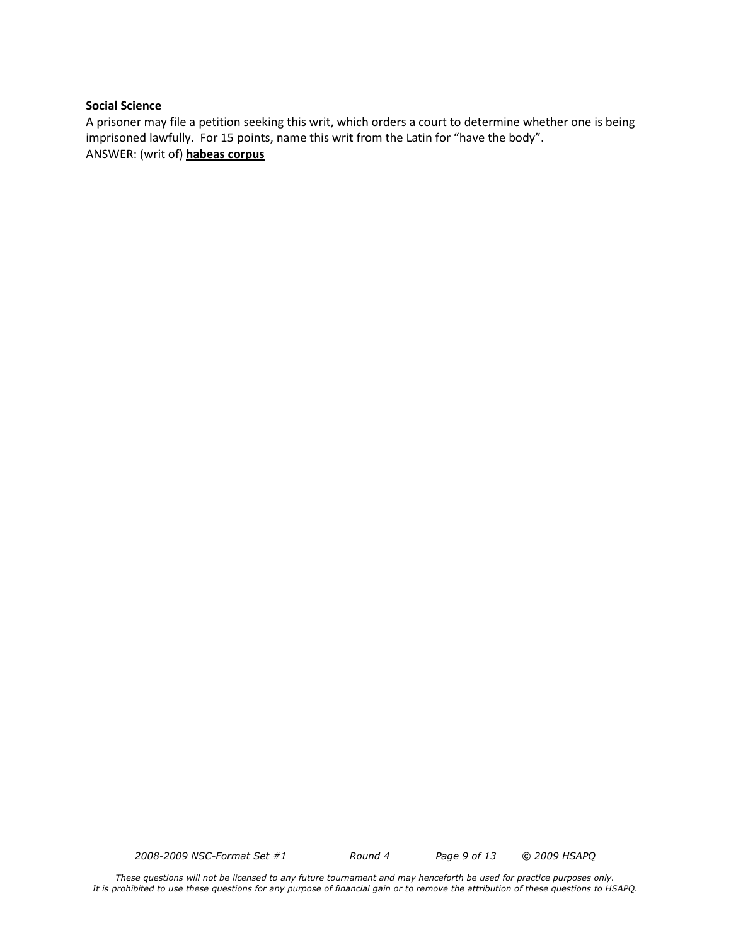#### **Social Science**

A prisoner may file a petition seeking this writ, which orders a court to determine whether one is being imprisoned lawfully. For 15 points, name this writ from the Latin for "have the body". ANSWER: (writ of) **habeas corpus**

*2008-2009 NSC-Format Set #1 Round 4 Page 9 of 13 © 2009 HSAPQ*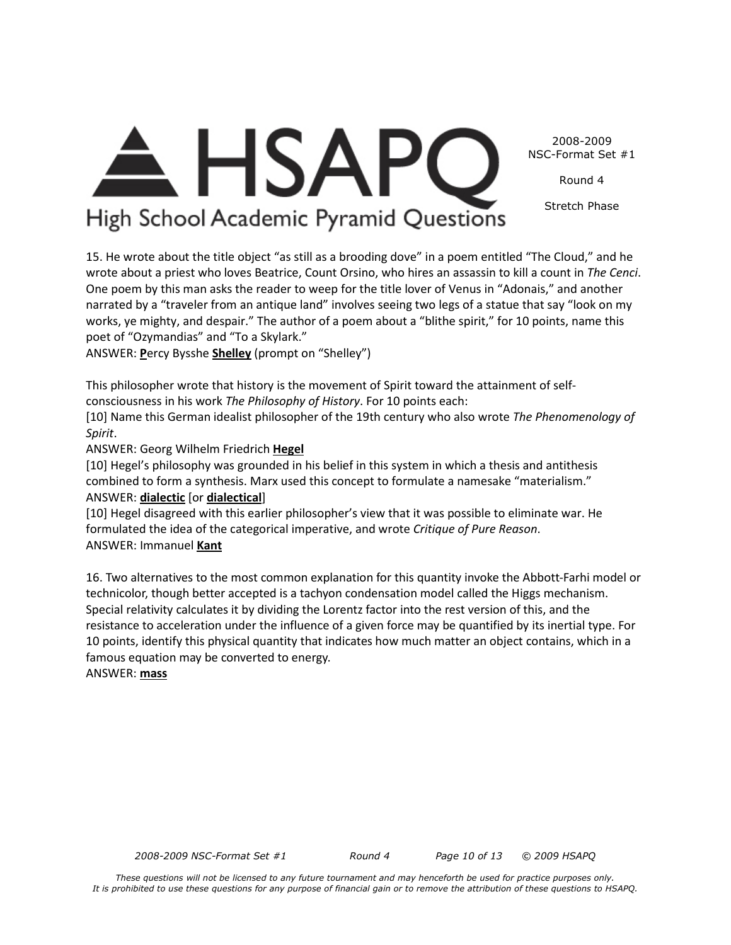2008-2009 NSC-Format Set #1

Round 4

Stretch Phase

# High School Academic Pyramid Questions

 $\triangle$  HSAPC

15. He wrote about the title object "as still as a brooding dove" in a poem entitled "The Cloud," and he wrote about a priest who loves Beatrice, Count Orsino, who hires an assassin to kill a count in *The Cenci*. One poem by this man asks the reader to weep for the title lover of Venus in "Adonais," and another narrated by a "traveler from an antique land" involves seeing two legs of a statue that say "look on my works, ye mighty, and despair." The author of a poem about a "blithe spirit," for 10 points, name this poet of "Ozymandias" and "To a Skylark."

ANSWER: **P**ercy Bysshe **Shelley** (prompt on "Shelley")

This philosopher wrote that history is the movement of Spirit toward the attainment of selfconsciousness in his work *The Philosophy of History*. For 10 points each:

[10] Name this German idealist philosopher of the 19th century who also wrote *The Phenomenology of Spirit*.

ANSWER: Georg Wilhelm Friedrich **Hegel**

[10] Hegel's philosophy was grounded in his belief in this system in which a thesis and antithesis combined to form a synthesis. Marx used this concept to formulate a namesake "materialism." ANSWER: **dialectic** [or **dialectical**]

[10] Hegel disagreed with this earlier philosopher's view that it was possible to eliminate war. He formulated the idea of the categorical imperative, and wrote *Critique of Pure Reason*. ANSWER: Immanuel **Kant**

16. Two alternatives to the most common explanation for this quantity invoke the Abbott-Farhi model or technicolor, though better accepted is a tachyon condensation model called the Higgs mechanism. Special relativity calculates it by dividing the Lorentz factor into the rest version of this, and the resistance to acceleration under the influence of a given force may be quantified by its inertial type. For 10 points, identify this physical quantity that indicates how much matter an object contains, which in a famous equation may be converted to energy.

ANSWER: **mass**

*2008-2009 NSC-Format Set #1 Round 4 Page 10 of 13 © 2009 HSAPQ*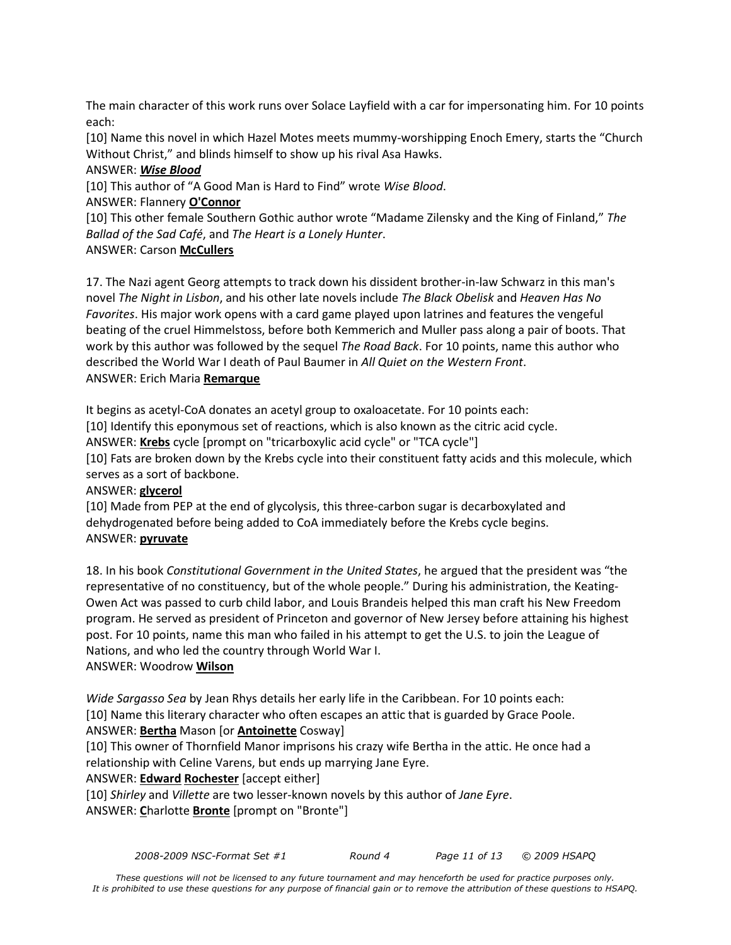The main character of this work runs over Solace Layfield with a car for impersonating him. For 10 points each:

[10] Name this novel in which Hazel Motes meets mummy-worshipping Enoch Emery, starts the "Church Without Christ," and blinds himself to show up his rival Asa Hawks.

## ANSWER: *Wise Blood*

[10] This author of "A Good Man is Hard to Find" wrote *Wise Blood*.

ANSWER: Flannery **O'Connor**

[10] This other female Southern Gothic author wrote "Madame Zilensky and the King of Finland," *The Ballad of the Sad Café*, and *The Heart is a Lonely Hunter*.

## ANSWER: Carson **McCullers**

17. The Nazi agent Georg attempts to track down his dissident brother-in-law Schwarz in this man's novel *The Night in Lisbon*, and his other late novels include *The Black Obelisk* and *Heaven Has No Favorites*. His major work opens with a card game played upon latrines and features the vengeful beating of the cruel Himmelstoss, before both Kemmerich and Muller pass along a pair of boots. That work by this author was followed by the sequel *The Road Back*. For 10 points, name this author who described the World War I death of Paul Baumer in *All Quiet on the Western Front*. ANSWER: Erich Maria **Remarque**

It begins as acetyl-CoA donates an acetyl group to oxaloacetate. For 10 points each:

[10] Identify this eponymous set of reactions, which is also known as the citric acid cycle.

ANSWER: **Krebs** cycle [prompt on "tricarboxylic acid cycle" or "TCA cycle"]

[10] Fats are broken down by the Krebs cycle into their constituent fatty acids and this molecule, which serves as a sort of backbone.

## ANSWER: **glycerol**

[10] Made from PEP at the end of glycolysis, this three-carbon sugar is decarboxylated and dehydrogenated before being added to CoA immediately before the Krebs cycle begins. ANSWER: **pyruvate**

18. In his book *Constitutional Government in the United States*, he argued that the president was "the representative of no constituency, but of the whole people." During his administration, the Keating-Owen Act was passed to curb child labor, and Louis Brandeis helped this man craft his New Freedom program. He served as president of Princeton and governor of New Jersey before attaining his highest post. For 10 points, name this man who failed in his attempt to get the U.S. to join the League of Nations, and who led the country through World War I.

## ANSWER: Woodrow **Wilson**

*Wide Sargasso Sea* by Jean Rhys details her early life in the Caribbean. For 10 points each: [10] Name this literary character who often escapes an attic that is guarded by Grace Poole. ANSWER: **Bertha** Mason [or **Antoinette** Cosway]

[10] This owner of Thornfield Manor imprisons his crazy wife Bertha in the attic. He once had a relationship with Celine Varens, but ends up marrying Jane Eyre.

## ANSWER: **Edward Rochester** [accept either]

[10] *Shirley* and *Villette* are two lesser-known novels by this author of *Jane Eyre*. ANSWER: **C**harlotte **Bronte** [prompt on "Bronte"]

*2008-2009 NSC-Format Set #1 Round 4 Page 11 of 13 © 2009 HSAPQ*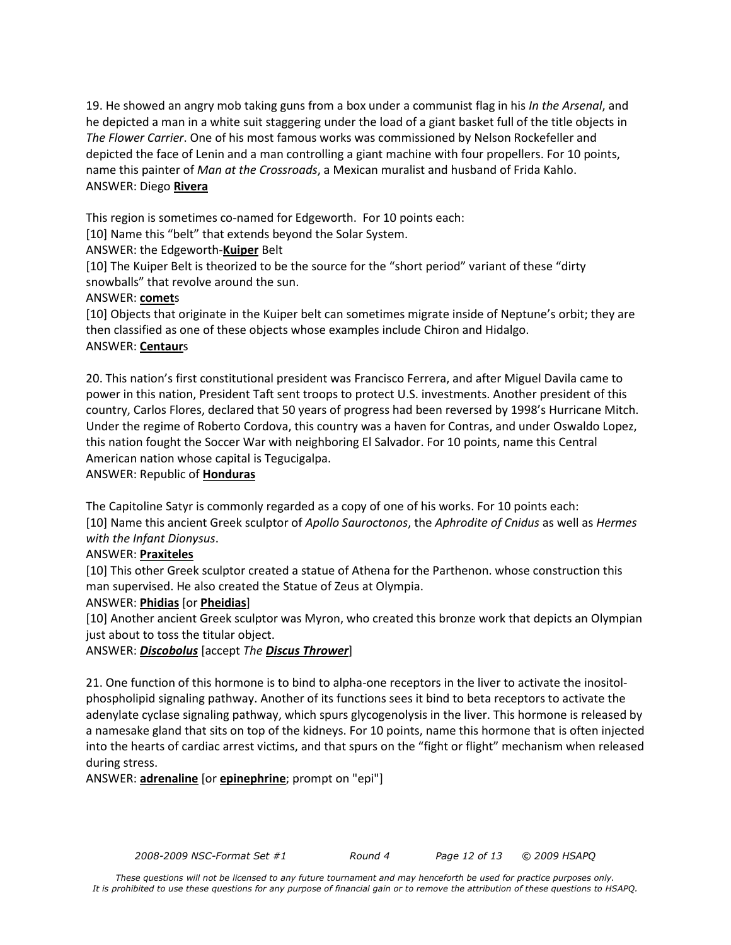19. He showed an angry mob taking guns from a box under a communist flag in his *In the Arsenal*, and he depicted a man in a white suit staggering under the load of a giant basket full of the title objects in *The Flower Carrier*. One of his most famous works was commissioned by Nelson Rockefeller and depicted the face of Lenin and a man controlling a giant machine with four propellers. For 10 points, name this painter of *Man at the Crossroads*, a Mexican muralist and husband of Frida Kahlo. ANSWER: Diego **Rivera**

This region is sometimes co-named for Edgeworth. For 10 points each:

[10] Name this "belt" that extends beyond the Solar System.

ANSWER: the Edgeworth-**Kuiper** Belt

[10] The Kuiper Belt is theorized to be the source for the "short period" variant of these "dirty snowballs" that revolve around the sun.

## ANSWER: **comet**s

[10] Objects that originate in the Kuiper belt can sometimes migrate inside of Neptune's orbit; they are then classified as one of these objects whose examples include Chiron and Hidalgo. ANSWER: **Centaur**s

20. This nation's first constitutional president was Francisco Ferrera, and after Miguel Davila came to power in this nation, President Taft sent troops to protect U.S. investments. Another president of this country, Carlos Flores, declared that 50 years of progress had been reversed by 1998's Hurricane Mitch. Under the regime of Roberto Cordova, this country was a haven for Contras, and under Oswaldo Lopez, this nation fought the Soccer War with neighboring El Salvador. For 10 points, name this Central American nation whose capital is Tegucigalpa.

ANSWER: Republic of **Honduras**

The Capitoline Satyr is commonly regarded as a copy of one of his works. For 10 points each: [10] Name this ancient Greek sculptor of *Apollo Sauroctonos*, the *Aphrodite of Cnidus* as well as *Hermes with the Infant Dionysus*.

## ANSWER: **Praxiteles**

[10] This other Greek sculptor created a statue of Athena for the Parthenon. whose construction this man supervised. He also created the Statue of Zeus at Olympia.

## ANSWER: **Phidias** [or **Pheidias**]

[10] Another ancient Greek sculptor was Myron, who created this bronze work that depicts an Olympian just about to toss the titular object.

ANSWER: *Discobolus* [accept *The Discus Thrower*]

21. One function of this hormone is to bind to alpha-one receptors in the liver to activate the inositolphospholipid signaling pathway. Another of its functions sees it bind to beta receptors to activate the adenylate cyclase signaling pathway, which spurs glycogenolysis in the liver. This hormone is released by a namesake gland that sits on top of the kidneys. For 10 points, name this hormone that is often injected into the hearts of cardiac arrest victims, and that spurs on the "fight or flight" mechanism when released during stress.

ANSWER: **adrenaline** [or **epinephrine**; prompt on "epi"]

*2008-2009 NSC-Format Set #1 Round 4 Page 12 of 13 © 2009 HSAPQ*